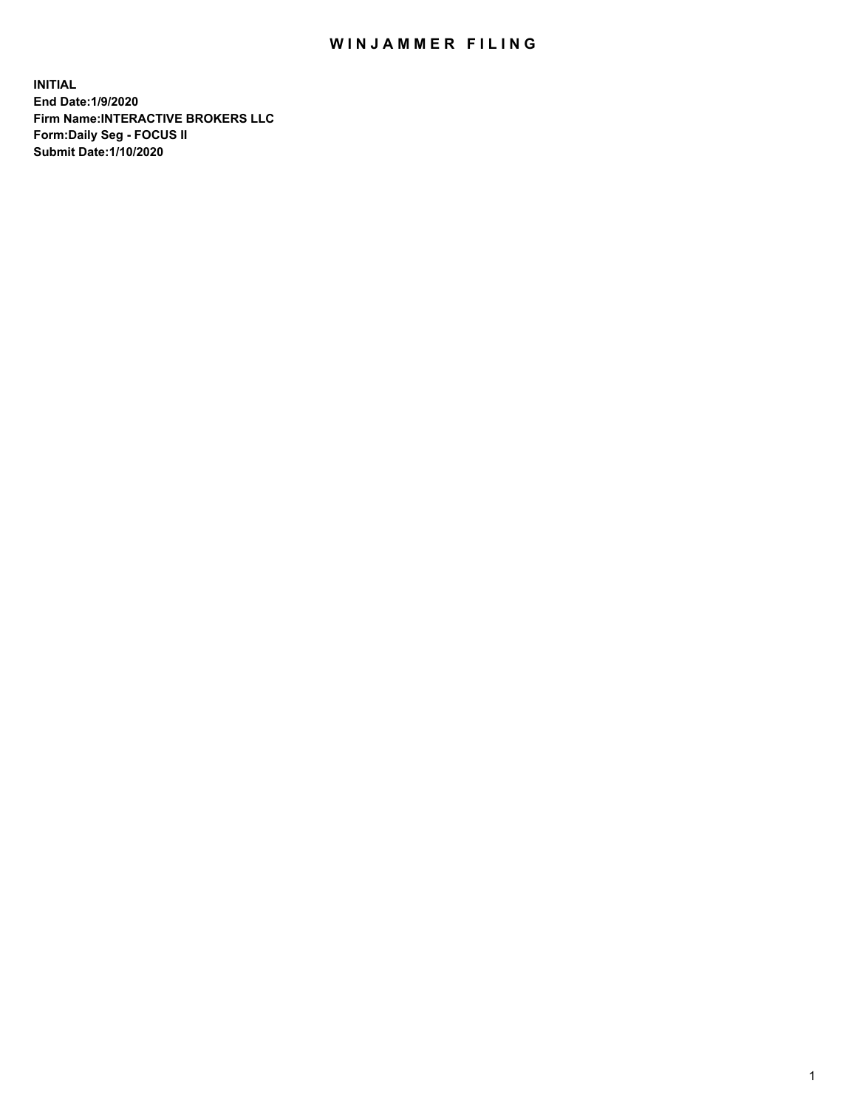## WIN JAMMER FILING

**INITIAL End Date:1/9/2020 Firm Name:INTERACTIVE BROKERS LLC Form:Daily Seg - FOCUS II Submit Date:1/10/2020**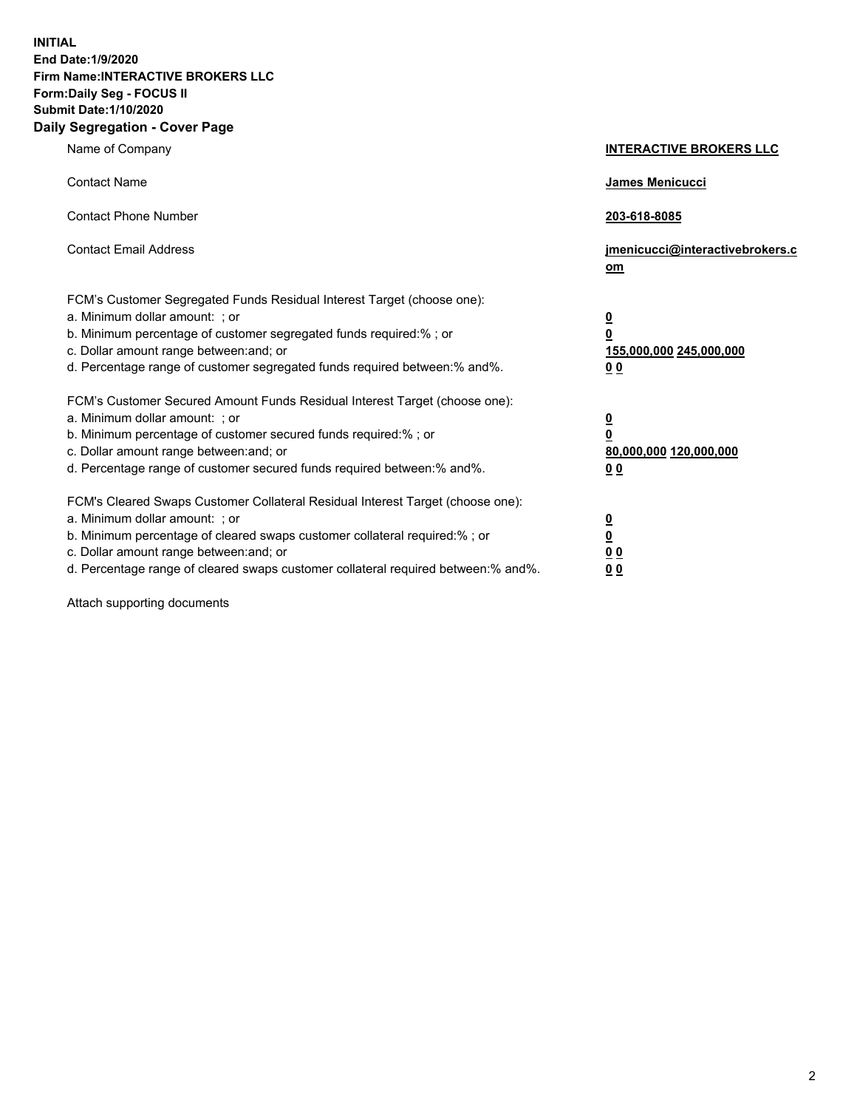**INITIAL End Date:1/9/2020 Firm Name:INTERACTIVE BROKERS LLC Form:Daily Seg - FOCUS II Submit Date:1/10/2020 Daily Segregation - Cover Page**

| Name of Company                                                                                                                                                                                                                                                                                                                  | <b>INTERACTIVE BROKERS LLC</b>                                                                  |
|----------------------------------------------------------------------------------------------------------------------------------------------------------------------------------------------------------------------------------------------------------------------------------------------------------------------------------|-------------------------------------------------------------------------------------------------|
| <b>Contact Name</b>                                                                                                                                                                                                                                                                                                              | <b>James Menicucci</b>                                                                          |
| <b>Contact Phone Number</b>                                                                                                                                                                                                                                                                                                      | 203-618-8085                                                                                    |
| <b>Contact Email Address</b>                                                                                                                                                                                                                                                                                                     | jmenicucci@interactivebrokers.c<br>om                                                           |
| FCM's Customer Segregated Funds Residual Interest Target (choose one):<br>a. Minimum dollar amount: ; or<br>b. Minimum percentage of customer segregated funds required:% ; or<br>c. Dollar amount range between: and; or<br>d. Percentage range of customer segregated funds required between:% and%.                           | $\overline{\mathbf{0}}$<br>$\overline{\mathbf{0}}$<br>155,000,000 245,000,000<br>0 <sub>0</sub> |
| FCM's Customer Secured Amount Funds Residual Interest Target (choose one):<br>a. Minimum dollar amount: ; or<br>b. Minimum percentage of customer secured funds required:% ; or<br>c. Dollar amount range between: and; or<br>d. Percentage range of customer secured funds required between:% and%.                             | <u>0</u><br>$\overline{\mathbf{0}}$<br>80,000,000 120,000,000<br><u>00</u>                      |
| FCM's Cleared Swaps Customer Collateral Residual Interest Target (choose one):<br>a. Minimum dollar amount: ; or<br>b. Minimum percentage of cleared swaps customer collateral required:% ; or<br>c. Dollar amount range between: and; or<br>d. Percentage range of cleared swaps customer collateral required between: % and %. | <u>0</u><br>$\underline{\mathbf{0}}$<br>0 <sub>0</sub><br>0 <sub>0</sub>                        |

Attach supporting documents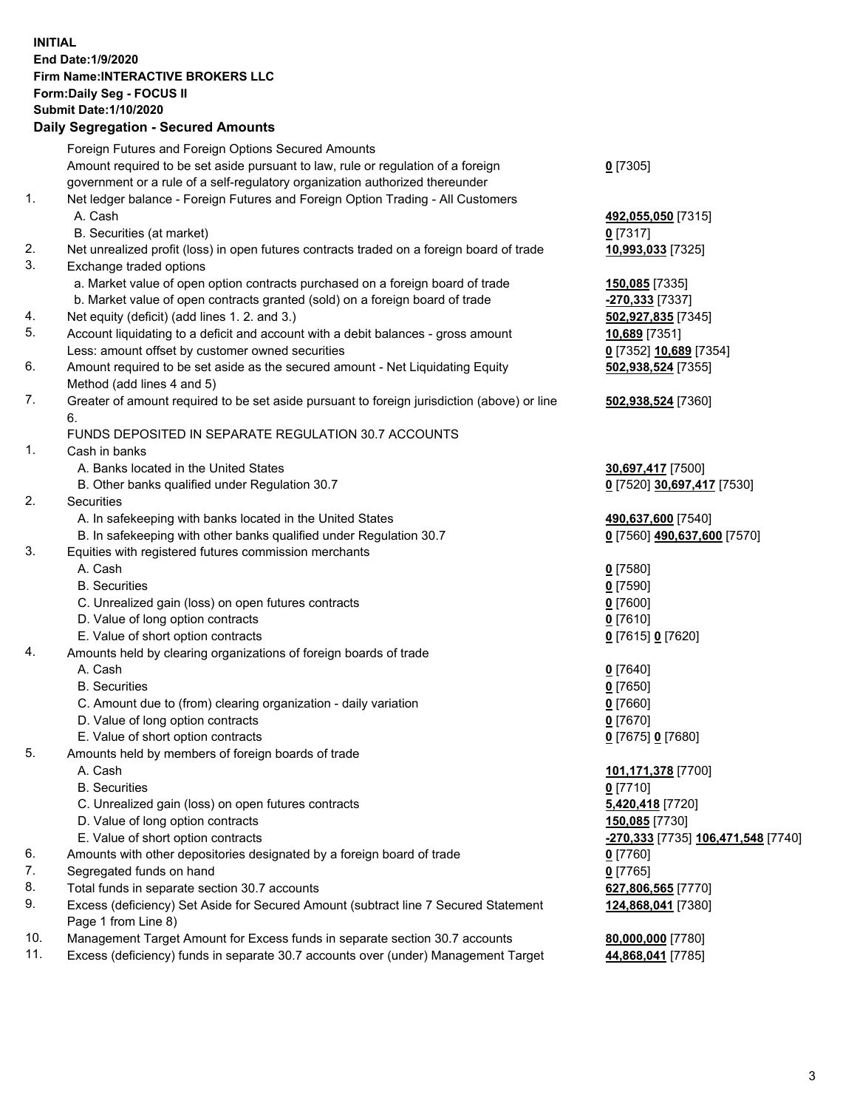## **INITIAL End Date:1/9/2020 Firm Name:INTERACTIVE BROKERS LLC Form:Daily Seg - FOCUS II Submit Date:1/10/2020 Daily Segregation - Secured Amounts**

|     | Daily Jegregation - Jeculed Aniounts                                                                       |                                    |
|-----|------------------------------------------------------------------------------------------------------------|------------------------------------|
|     | Foreign Futures and Foreign Options Secured Amounts                                                        |                                    |
|     | Amount required to be set aside pursuant to law, rule or regulation of a foreign                           | $0$ [7305]                         |
|     | government or a rule of a self-regulatory organization authorized thereunder                               |                                    |
| 1.  | Net ledger balance - Foreign Futures and Foreign Option Trading - All Customers                            |                                    |
|     | A. Cash                                                                                                    | 492,055,050 [7315]                 |
|     | B. Securities (at market)                                                                                  | 0 [7317]                           |
| 2.  | Net unrealized profit (loss) in open futures contracts traded on a foreign board of trade                  | 10,993,033 [7325]                  |
| 3.  | Exchange traded options                                                                                    |                                    |
|     | a. Market value of open option contracts purchased on a foreign board of trade                             | <b>150,085</b> [7335]              |
|     | b. Market value of open contracts granted (sold) on a foreign board of trade                               | $-270,333$ [7337]                  |
| 4.  | Net equity (deficit) (add lines 1. 2. and 3.)                                                              | 502,927,835 [7345]                 |
| 5.  | Account liquidating to a deficit and account with a debit balances - gross amount                          | 10,689 [7351]                      |
|     | Less: amount offset by customer owned securities                                                           | 0 [7352] 10,689 [7354]             |
| 6.  | Amount required to be set aside as the secured amount - Net Liquidating Equity                             | 502,938,524 [7355]                 |
|     | Method (add lines 4 and 5)                                                                                 |                                    |
| 7.  | Greater of amount required to be set aside pursuant to foreign jurisdiction (above) or line                | 502,938,524 [7360]                 |
|     | 6.                                                                                                         |                                    |
|     | FUNDS DEPOSITED IN SEPARATE REGULATION 30.7 ACCOUNTS                                                       |                                    |
| 1.  | Cash in banks                                                                                              |                                    |
|     | A. Banks located in the United States                                                                      | 30,697,417 [7500]                  |
|     | B. Other banks qualified under Regulation 30.7                                                             | 0 [7520] 30,697,417 [7530]         |
| 2.  | Securities                                                                                                 |                                    |
|     | A. In safekeeping with banks located in the United States                                                  | 490,637,600 [7540]                 |
|     | B. In safekeeping with other banks qualified under Regulation 30.7                                         | 0 [7560] 490,637,600 [7570]        |
| 3.  | Equities with registered futures commission merchants                                                      |                                    |
|     | A. Cash                                                                                                    | $0$ [7580]                         |
|     | <b>B.</b> Securities                                                                                       | $0$ [7590]                         |
|     | C. Unrealized gain (loss) on open futures contracts                                                        | $0$ [7600]                         |
|     | D. Value of long option contracts                                                                          | $0$ [7610]                         |
|     | E. Value of short option contracts                                                                         | 0 [7615] 0 [7620]                  |
| 4.  | Amounts held by clearing organizations of foreign boards of trade                                          |                                    |
|     | A. Cash                                                                                                    | $0$ [7640]                         |
|     | <b>B.</b> Securities                                                                                       | $0$ [7650]                         |
|     | C. Amount due to (from) clearing organization - daily variation                                            | $0$ [7660]                         |
|     | D. Value of long option contracts                                                                          | $0$ [7670]                         |
|     | E. Value of short option contracts                                                                         | 0 [7675] 0 [7680]                  |
| 5.  | Amounts held by members of foreign boards of trade                                                         |                                    |
|     | A. Cash                                                                                                    | 101,171,378 [7700]                 |
|     | <b>B.</b> Securities                                                                                       | $0$ [7710]                         |
|     | C. Unrealized gain (loss) on open futures contracts                                                        | 5,420,418 [7720]                   |
|     | D. Value of long option contracts                                                                          | 150,085 [7730]                     |
|     | E. Value of short option contracts                                                                         | -270,333 [7735] 106,471,548 [7740] |
| 6.  | Amounts with other depositories designated by a foreign board of trade                                     | 0 [7760]                           |
| 7.  | Segregated funds on hand                                                                                   | $0$ [7765]                         |
| 8.  | Total funds in separate section 30.7 accounts                                                              | 627,806,565 [7770]                 |
| 9.  | Excess (deficiency) Set Aside for Secured Amount (subtract line 7 Secured Statement<br>Page 1 from Line 8) | 124,868,041 [7380]                 |
| 10. | Management Target Amount for Excess funds in separate section 30.7 accounts                                | 80,000,000 [7780]                  |
| 11. | Excess (deficiency) funds in separate 30.7 accounts over (under) Management Target                         | 44,868,041 [7785]                  |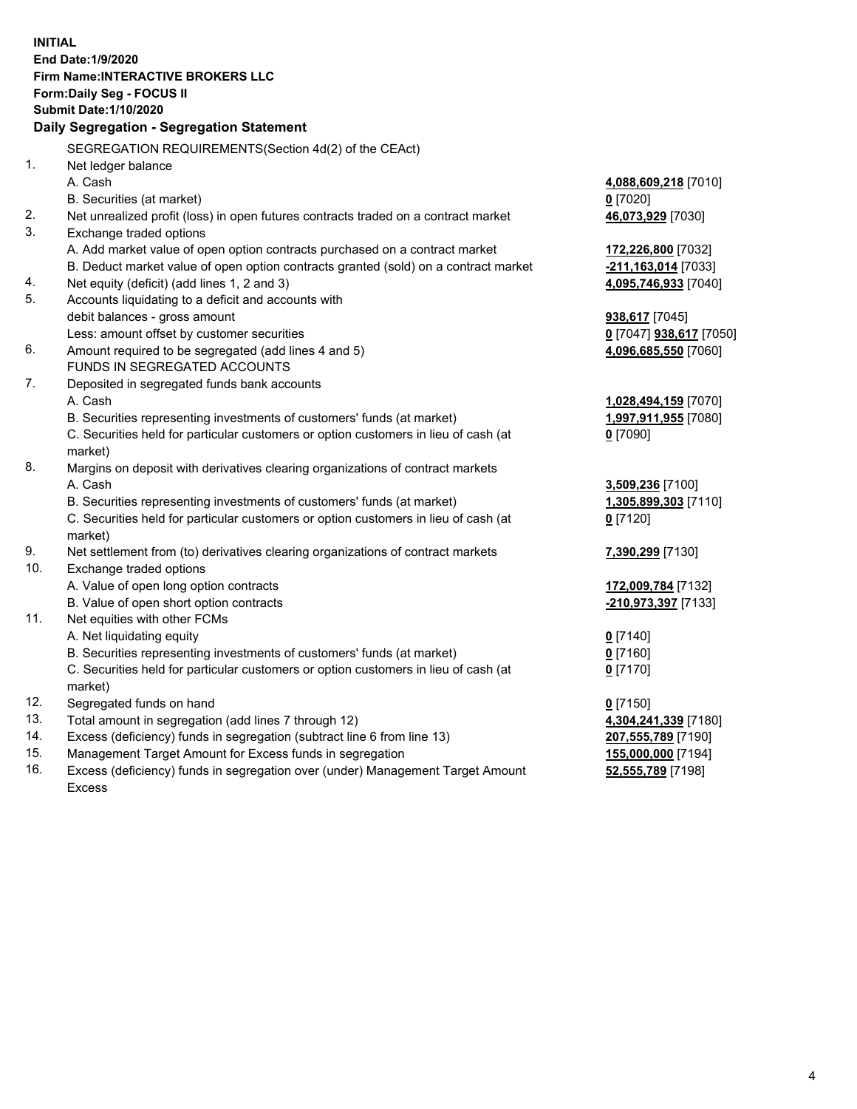**INITIAL End Date:1/9/2020 Firm Name:INTERACTIVE BROKERS LLC Form:Daily Seg - FOCUS II Submit Date:1/10/2020 Daily Segregation - Segregation Statement** SEGREGATION REQUIREMENTS(Section 4d(2) of the CEAct) 1. Net ledger balance A. Cash **4,088,609,218** [7010] B. Securities (at market) **0** [7020] 2. Net unrealized profit (loss) in open futures contracts traded on a contract market **46,073,929** [7030] 3. Exchange traded options A. Add market value of open option contracts purchased on a contract market **172,226,800** [7032] B. Deduct market value of open option contracts granted (sold) on a contract market **-211,163,014** [7033] 4. Net equity (deficit) (add lines 1, 2 and 3) **4,095,746,933** [7040] 5. Accounts liquidating to a deficit and accounts with debit balances - gross amount **938,617** [7045] Less: amount offset by customer securities **0** [7047] **938,617** [7050] 6. Amount required to be segregated (add lines 4 and 5) **4,096,685,550** [7060] FUNDS IN SEGREGATED ACCOUNTS 7. Deposited in segregated funds bank accounts A. Cash **1,028,494,159** [7070] B. Securities representing investments of customers' funds (at market) **1,997,911,955** [7080] C. Securities held for particular customers or option customers in lieu of cash (at market) **0** [7090] 8. Margins on deposit with derivatives clearing organizations of contract markets A. Cash **3,509,236** [7100] B. Securities representing investments of customers' funds (at market) **1,305,899,303** [7110] C. Securities held for particular customers or option customers in lieu of cash (at market) **0** [7120] 9. Net settlement from (to) derivatives clearing organizations of contract markets **7,390,299** [7130] 10. Exchange traded options A. Value of open long option contracts **172,009,784** [7132] B. Value of open short option contracts **-210,973,397** [7133] 11. Net equities with other FCMs A. Net liquidating equity **0** [7140] B. Securities representing investments of customers' funds (at market) **0** [7160] C. Securities held for particular customers or option customers in lieu of cash (at market) **0** [7170] 12. Segregated funds on hand **0** [7150] 13. Total amount in segregation (add lines 7 through 12) **4,304,241,339** [7180] 14. Excess (deficiency) funds in segregation (subtract line 6 from line 13) **207,555,789** [7190] 15. Management Target Amount for Excess funds in segregation **155,000,000** [7194]

16. Excess (deficiency) funds in segregation over (under) Management Target Amount Excess

**52,555,789** [7198]